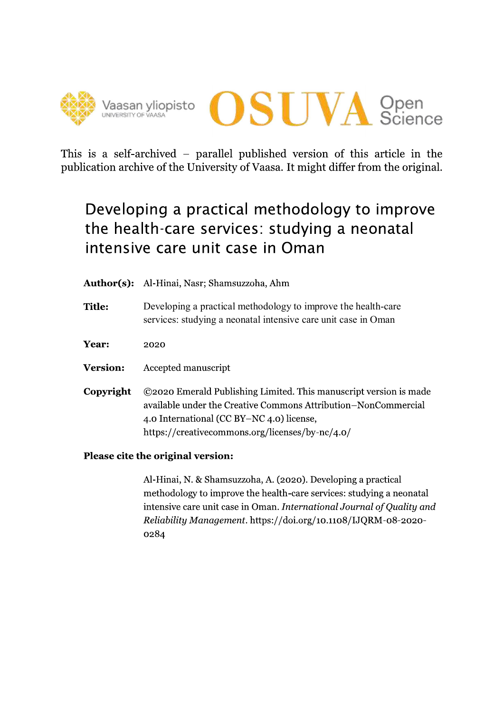



This is a self-archived – parallel published version of this article in the publication archive of the University of Vaasa. It might differ from the original.

# Developing a practical methodology to improve the health-care services: studying a neonatal intensive care unit case in Oman

|  |  | <b>Author(s):</b> Al-Hinai, Nasr; Shamsuzzoha, Ahm |
|--|--|----------------------------------------------------|
|--|--|----------------------------------------------------|

**Title:** Developing a practical methodology to improve the health-care services: studying a neonatal intensive care unit case in Oman

Year: 2020

- **Version:** Accepted manuscript
- ©2020 Emerald Publishing Limited. This manuscript version is made Copyright available under the Creative Commons Attribution-NonCommercial 4.0 International (CC BY-NC 4.0) license, https://creativecommons.org/licenses/by-nc/4.0/

## Please cite the original version:

Al-Hinai, N. & Shamsuzzoha, A. (2020). Developing a practical methodology to improve the health-care services: studying a neonatal intensive care unit case in Oman. International Journal of Ouality and Reliability Management. https://doi.org/10.1108/IJQRM-08-2020-0284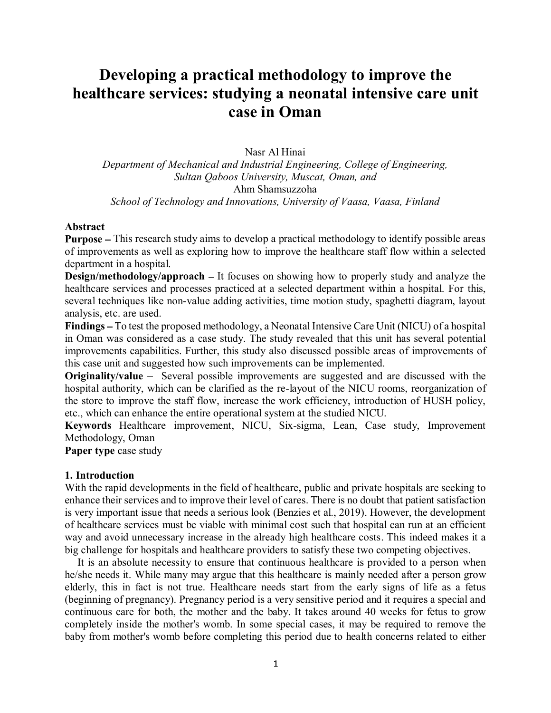## **Developing a practical methodology to improve the healthcare services: studying a neonatal intensive care unit case in Oman**

Nasr Al Hinai

*Department of Mechanical and Industrial Engineering, College of Engineering, Sultan Qaboos University, Muscat, Oman, and* Ahm Shamsuzzoha *School of Technology and Innovations, University of Vaasa, Vaasa, Finland*

#### **Abstract**

**Purpose** – This research study aims to develop a practical methodology to identify possible areas of improvements as well as exploring how to improve the healthcare staff flow within a selected department in a hospital.

**Design/methodology/approach** – It focuses on showing how to properly study and analyze the healthcare services and processes practiced at a selected department within a hospital. For this, several techniques like non-value adding activities, time motion study, spaghetti diagram, layout analysis, etc. are used.

Findings - To test the proposed methodology, a Neonatal Intensive Care Unit (NICU) of a hospital in Oman was considered as a case study. The study revealed that this unit has several potential improvements capabilities. Further, this study also discussed possible areas of improvements of this case unit and suggested how such improvements can be implemented.

**Originality/value** – Several possible improvements are suggested and are discussed with the hospital authority, which can be clarified as the re-layout of the NICU rooms, reorganization of the store to improve the staff flow, increase the work efficiency, introduction of HUSH policy, etc., which can enhance the entire operational system at the studied NICU.

**Keywords** Healthcare improvement, NICU, Six-sigma, Lean, Case study, Improvement Methodology, Oman

**Paper type** case study

#### **1. Introduction**

With the rapid developments in the field of healthcare, public and private hospitals are seeking to enhance their services and to improve their level of cares. There is no doubt that patient satisfaction is very important issue that needs a serious look (Benzies et al., 2019). However, the development of healthcare services must be viable with minimal cost such that hospital can run at an efficient way and avoid unnecessary increase in the already high healthcare costs. This indeed makes it a big challenge for hospitals and healthcare providers to satisfy these two competing objectives.

 It is an absolute necessity to ensure that continuous healthcare is provided to a person when he/she needs it. While many may argue that this healthcare is mainly needed after a person grow elderly, this in fact is not true. Healthcare needs start from the early signs of life as a fetus (beginning of pregnancy). Pregnancy period is a very sensitive period and it requires a special and continuous care for both, the mother and the baby. It takes around 40 weeks for fetus to grow completely inside the mother's womb. In some special cases, it may be required to remove the baby from mother's womb before completing this period due to health concerns related to either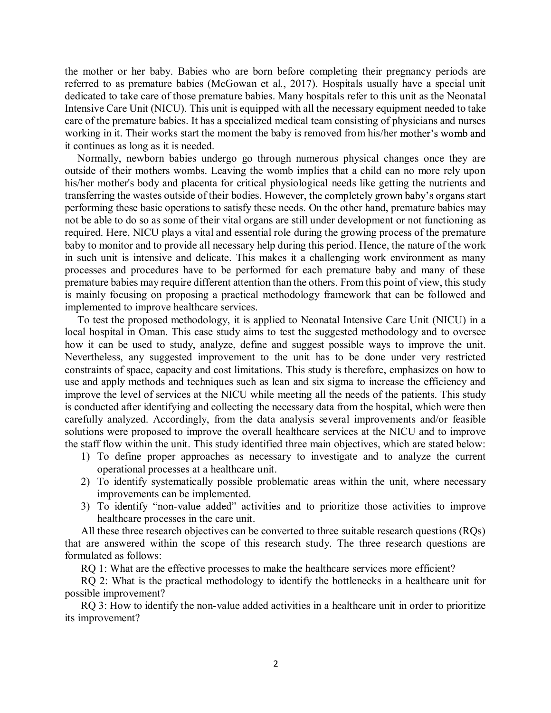the mother or her baby. Babies who are born before completing their pregnancy periods are referred to as premature babies (McGowan et al., 2017). Hospitals usually have a special unit dedicated to take care of those premature babies. Many hospitals refer to this unit as the Neonatal Intensive Care Unit (NICU). This unit is equipped with all the necessary equipment needed to take care of the premature babies. It has a specialized medical team consisting of physicians and nurses working in it. Their works start the moment the baby is removed from his/her mother's womb and it continues as long as it is needed.

 Normally, newborn babies undergo go through numerous physical changes once they are outside of their mothers wombs. Leaving the womb implies that a child can no more rely upon his/her mother's body and placenta for critical physiological needs like getting the nutrients and transferring the wastes outside of their bodies. However, the completely grown baby's organs start performing these basic operations to satisfy these needs. On the other hand, premature babies may not be able to do so as some of their vital organs are still under development or not functioning as required. Here, NICU plays a vital and essential role during the growing process of the premature baby to monitor and to provide all necessary help during this period. Hence, the nature of the work in such unit is intensive and delicate. This makes it a challenging work environment as many processes and procedures have to be performed for each premature baby and many of these premature babies may require different attention than the others. From this point of view, this study is mainly focusing on proposing a practical methodology framework that can be followed and implemented to improve healthcare services.

 To test the proposed methodology, it is applied to Neonatal Intensive Care Unit (NICU) in a local hospital in Oman. This case study aims to test the suggested methodology and to oversee how it can be used to study, analyze, define and suggest possible ways to improve the unit. Nevertheless, any suggested improvement to the unit has to be done under very restricted constraints of space, capacity and cost limitations. This study is therefore, emphasizes on how to use and apply methods and techniques such as lean and six sigma to increase the efficiency and improve the level of services at the NICU while meeting all the needs of the patients. This study is conducted after identifying and collecting the necessary data from the hospital, which were then carefully analyzed. Accordingly, from the data analysis several improvements and/or feasible solutions were proposed to improve the overall healthcare services at the NICU and to improve the staff flow within the unit. This study identified three main objectives, which are stated below:

- 1) To define proper approaches as necessary to investigate and to analyze the current operational processes at a healthcare unit.
- 2) To identify systematically possible problematic areas within the unit, where necessary improvements can be implemented.
- 3) To identify "non-value added" activities and to prioritize those activities to improve healthcare processes in the care unit.

All these three research objectives can be converted to three suitable research questions (RQs) that are answered within the scope of this research study. The three research questions are formulated as follows:

RQ 1: What are the effective processes to make the healthcare services more efficient?

RQ 2: What is the practical methodology to identify the bottlenecks in a healthcare unit for possible improvement?

RQ 3: How to identify the non-value added activities in a healthcare unit in order to prioritize its improvement?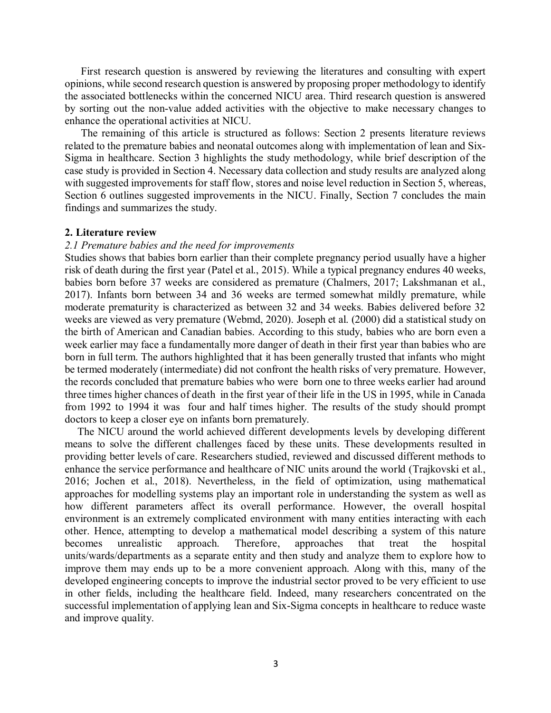First research question is answered by reviewing the literatures and consulting with expert opinions, while second research question is answered by proposing proper methodology to identify the associated bottlenecks within the concerned NICU area. Third research question is answered by sorting out the non-value added activities with the objective to make necessary changes to enhance the operational activities at NICU.

The remaining of this article is structured as follows: Section 2 presents literature reviews related to the premature babies and neonatal outcomes along with implementation of lean and Six-Sigma in healthcare. Section 3 highlights the study methodology, while brief description of the case study is provided in Section 4. Necessary data collection and study results are analyzed along with suggested improvements for staff flow, stores and noise level reduction in Section 5, whereas, Section 6 outlines suggested improvements in the NICU. Finally, Section 7 concludes the main findings and summarizes the study.

#### **2. Literature review**

#### *2.1 Premature babies and the need for improvements*

Studies shows that babies born earlier than their complete pregnancy period usually have a higher risk of death during the first year (Patel et al., 2015). While a typical pregnancy endures 40 weeks, babies born before 37 weeks are considered as premature (Chalmers, 2017; Lakshmanan et al., 2017). Infants born between 34 and 36 weeks are termed somewhat mildly premature, while moderate prematurity is characterized as between 32 and 34 weeks. Babies delivered before 32 weeks are viewed as very premature (Webmd, 2020). Joseph et al. (2000) did a statistical study on the birth of American and Canadian babies. According to this study, babies who are born even a week earlier may face a fundamentally more danger of death in their first year than babies who are born in full term. The authors highlighted that it has been generally trusted that infants who might be termed moderately (intermediate) did not confront the health risks of very premature. However, the records concluded that premature babies who were born one to three weeks earlier had around three times higher chances of death in the first year of their life in the US in 1995, while in Canada from 1992 to 1994 it was four and half times higher. The results of the study should prompt doctors to keep a closer eye on infants born prematurely.

 The NICU around the world achieved different developments levels by developing different means to solve the different challenges faced by these units. These developments resulted in providing better levels of care. Researchers studied, reviewed and discussed different methods to enhance the service performance and healthcare of NIC units around the world (Trajkovski et al., 2016; Jochen et al., 2018). Nevertheless, in the field of optimization, using mathematical approaches for modelling systems play an important role in understanding the system as well as how different parameters affect its overall performance. However, the overall hospital environment is an extremely complicated environment with many entities interacting with each other. Hence, attempting to develop a mathematical model describing a system of this nature becomes unrealistic approach. Therefore, approaches that treat the hospital units/wards/departments as a separate entity and then study and analyze them to explore how to improve them may ends up to be a more convenient approach. Along with this, many of the developed engineering concepts to improve the industrial sector proved to be very efficient to use in other fields, including the healthcare field. Indeed, many researchers concentrated on the successful implementation of applying lean and Six-Sigma concepts in healthcare to reduce waste and improve quality.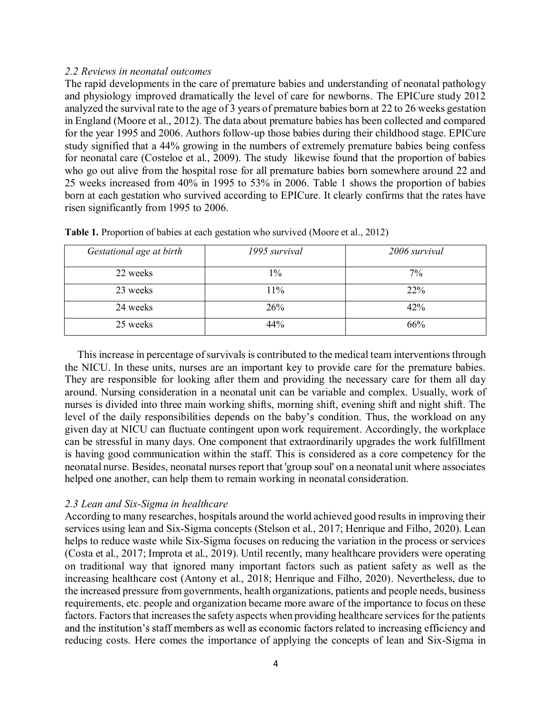#### *2.2 Reviews in neonatal outcomes*

The rapid developments in the care of premature babies and understanding of neonatal pathology and physiology improved dramatically the level of care for newborns. The EPICure study 2012 analyzed the survival rate to the age of 3 years of premature babies born at 22 to 26 weeks gestation in England (Moore et al., 2012). The data about premature babies has been collected and compared for the year 1995 and 2006. Authors follow-up those babies during their childhood stage. EPICure study signified that a 44% growing in the numbers of extremely premature babies being confess for neonatal care (Costeloe et al., 2009). The study likewise found that the proportion of babies who go out alive from the hospital rose for all premature babies born somewhere around 22 and 25 weeks increased from 40% in 1995 to 53% in 2006. Table 1 shows the proportion of babies born at each gestation who survived according to EPICure. It clearly confirms that the rates have risen significantly from 1995 to 2006.

| Gestational age at birth | 1995 survival | 2006 survival |
|--------------------------|---------------|---------------|
| 22 weeks                 | $1\%$         | $7\%$         |
| 23 weeks                 | 11%           | 22%           |
| 24 weeks                 | 26%           | 42%           |
| 25 weeks                 | 44%           | 66%           |

**Table 1.** Proportion of babies at each gestation who survived (Moore et al., 2012)

 This increase in percentage of survivals is contributed to the medical team interventions through the NICU. In these units, nurses are an important key to provide care for the premature babies. They are responsible for looking after them and providing the necessary care for them all day around. Nursing consideration in a neonatal unit can be variable and complex. Usually, work of nurses is divided into three main working shifts, morning shift, evening shift and night shift. The level of the daily responsibilities depends on the baby's condition. Thus, the workload on any given day at NICU can fluctuate contingent upon work requirement. Accordingly, the workplace can be stressful in many days. One component that extraordinarily upgrades the work fulfillment is having good communication within the staff. This is considered as a core competency for the neonatal nurse. Besides, neonatal nurses report that 'group soul' on a neonatal unit where associates helped one another, can help them to remain working in neonatal consideration.

## *2.3 Lean and Six-Sigma in healthcare*

According to many researches, hospitals around the world achieved good results in improving their services using lean and Six-Sigma concepts (Stelson et al., 2017; Henrique and Filho, 2020). Lean helps to reduce waste while Six-Sigma focuses on reducing the variation in the process or services (Costa et al., 2017; Improta et al., 2019). Until recently, many healthcare providers were operating on traditional way that ignored many important factors such as patient safety as well as the increasing healthcare cost (Antony et al., 2018; Henrique and Filho, 2020). Nevertheless, due to the increased pressure from governments, health organizations, patients and people needs, business requirements, etc. people and organization became more aware of the importance to focus on these factors. Factors that increases the safety aspects when providing healthcare services for the patients and the institution's staff members as well as economic factors related to increasing efficiency and reducing costs. Here comes the importance of applying the concepts of lean and Six-Sigma in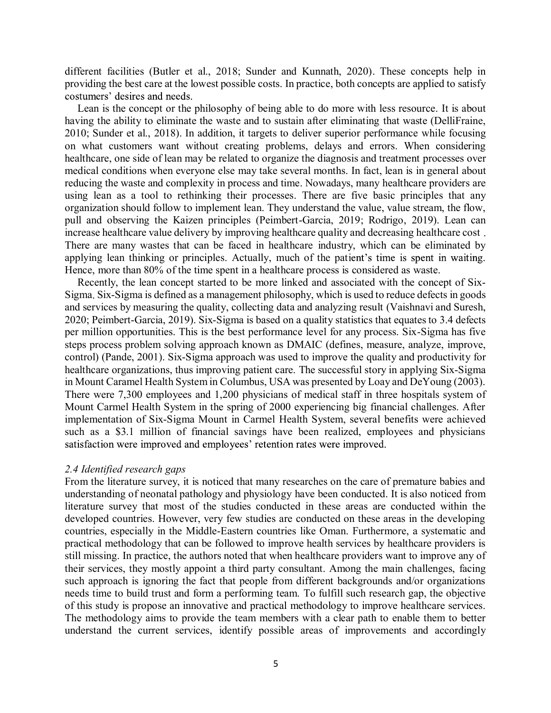different facilities (Butler et al., 2018; Sunder and Kunnath, 2020). These concepts help in providing the best care at the lowest possible costs. In practice, both concepts are applied to satisfy costumers' desires and needs.

 Lean is the concept or the philosophy of being able to do more with less resource. It is about having the ability to eliminate the waste and to sustain after eliminating that waste (DelliFraine, 2010; Sunder et al., 2018). In addition, it targets to deliver superior performance while focusing on what customers want without creating problems, delays and errors. When considering healthcare, one side of lean may be related to organize the diagnosis and treatment processes over medical conditions when everyone else may take several months. In fact, lean is in general about reducing the waste and complexity in process and time. Nowadays, many healthcare providers are using lean as a tool to rethinking their processes. There are five basic principles that any organization should follow to implement lean. They understand the value, value stream, the flow, pull and observing the Kaizen principles (Peimbert-Garcia, 2019; Rodrigo, 2019). Lean can increase healthcare value delivery by improving healthcare quality and decreasing healthcare cost. There are many wastes that can be faced in healthcare industry, which can be eliminated by applying lean thinking or principles. Actually, much of the patient's time is spent in waiting. Hence, more than 80% of the time spent in a healthcare process is considered as waste.

 Recently, the lean concept started to be more linked and associated with the concept of Six-Sigma Six-Sigma is defined as a management philosophy, which is used to reduce defects in goods and services by measuring the quality, collecting data and analyzing result (Vaishnavi and Suresh, 2020; Peimbert-Garcia, 2019). Six-Sigma is based on a quality statistics that equates to 3.4 defects per million opportunities. This is the best performance level for any process. Six-Sigma has five steps process problem solving approach known as DMAIC (defines, measure, analyze, improve, control) (Pande, 2001). Six-Sigma approach was used to improve the quality and productivity for healthcare organizations, thus improving patient care. The successful story in applying Six-Sigma in Mount Caramel Health System in Columbus, USA was presented by Loay and DeYoung (2003). There were 7,300 employees and 1,200 physicians of medical staff in three hospitals system of Mount Carmel Health System in the spring of 2000 experiencing big financial challenges. After implementation of Six-Sigma Mount in Carmel Health System, several benefits were achieved such as a \$3.1 million of financial savings have been realized, employees and physicians satisfaction were improved and employees' retention rates were improved.

#### *2.4 Identified research gaps*

From the literature survey, it is noticed that many researches on the care of premature babies and understanding of neonatal pathology and physiology have been conducted. It is also noticed from literature survey that most of the studies conducted in these areas are conducted within the developed countries. However, very few studies are conducted on these areas in the developing countries, especially in the Middle-Eastern countries like Oman. Furthermore, a systematic and practical methodology that can be followed to improve health services by healthcare providers is still missing. In practice, the authors noted that when healthcare providers want to improve any of their services, they mostly appoint a third party consultant. Among the main challenges, facing such approach is ignoring the fact that people from different backgrounds and/or organizations needs time to build trust and form a performing team. To fulfill such research gap, the objective of this study is propose an innovative and practical methodology to improve healthcare services. The methodology aims to provide the team members with a clear path to enable them to better understand the current services, identify possible areas of improvements and accordingly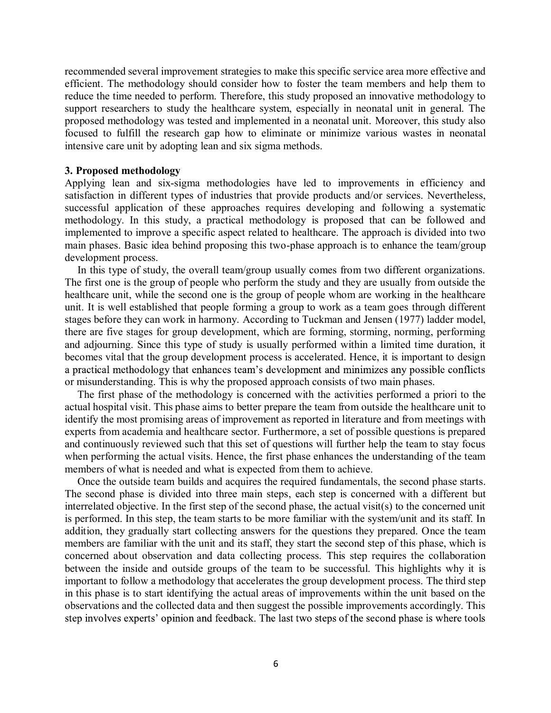recommended several improvement strategies to make this specific service area more effective and efficient. The methodology should consider how to foster the team members and help them to reduce the time needed to perform. Therefore, this study proposed an innovative methodology to support researchers to study the healthcare system, especially in neonatal unit in general. The proposed methodology was tested and implemented in a neonatal unit. Moreover, this study also focused to fulfill the research gap how to eliminate or minimize various wastes in neonatal intensive care unit by adopting lean and six sigma methods.

#### **3. Proposed methodology**

Applying lean and six-sigma methodologies have led to improvements in efficiency and satisfaction in different types of industries that provide products and/or services. Nevertheless, successful application of these approaches requires developing and following a systematic methodology. In this study, a practical methodology is proposed that can be followed and implemented to improve a specific aspect related to healthcare. The approach is divided into two main phases. Basic idea behind proposing this two-phase approach is to enhance the team/group development process.

 In this type of study, the overall team/group usually comes from two different organizations. The first one is the group of people who perform the study and they are usually from outside the healthcare unit, while the second one is the group of people whom are working in the healthcare unit. It is well established that people forming a group to work as a team goes through different stages before they can work in harmony. According to Tuckman and Jensen (1977) ladder model, there are five stages for group development, which are forming, storming, norming, performing and adjourning. Since this type of study is usually performed within a limited time duration, it becomes vital that the group development process is accelerated. Hence, it is important to design a practical methodology that enhances team's development and minimizes any possible conflicts or misunderstanding. This is why the proposed approach consists of two main phases.

 The first phase of the methodology is concerned with the activities performed a priori to the actual hospital visit. This phase aims to better prepare the team from outside the healthcare unit to identify the most promising areas of improvement as reported in literature and from meetings with experts from academia and healthcare sector. Furthermore, a set of possible questions is prepared and continuously reviewed such that this set of questions will further help the team to stay focus when performing the actual visits. Hence, the first phase enhances the understanding of the team members of what is needed and what is expected from them to achieve.

 Once the outside team builds and acquires the required fundamentals, the second phase starts. The second phase is divided into three main steps, each step is concerned with a different but interrelated objective. In the first step of the second phase, the actual visit(s) to the concerned unit is performed. In this step, the team starts to be more familiar with the system/unit and its staff. In addition, they gradually start collecting answers for the questions they prepared. Once the team members are familiar with the unit and its staff, they start the second step of this phase, which is concerned about observation and data collecting process. This step requires the collaboration between the inside and outside groups of the team to be successful. This highlights why it is important to follow a methodology that accelerates the group development process. The third step in this phase is to start identifying the actual areas of improvements within the unit based on the observations and the collected data and then suggest the possible improvements accordingly. Thisstep involves experts' opinion and feedback. The last two steps of the second phase is where tools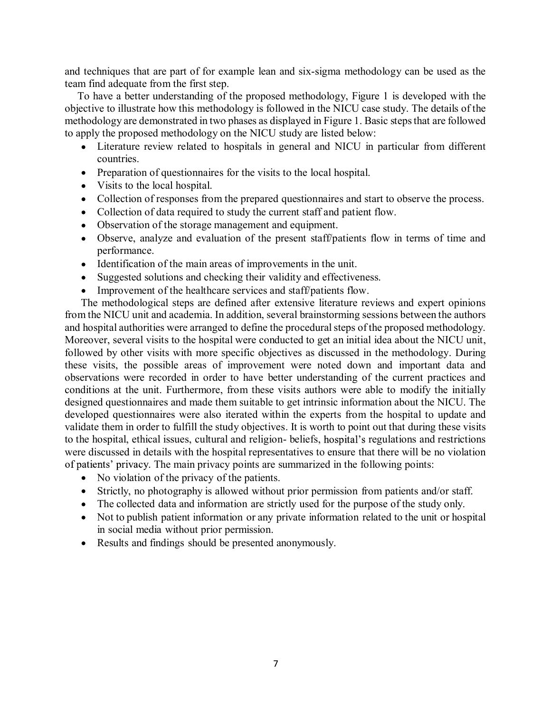and techniques that are part of for example lean and six-sigma methodology can be used as the team find adequate from the first step.

 To have a better understanding of the proposed methodology, Figure 1 is developed with the objective to illustrate how this methodology is followed in the NICU case study. The details of the methodology are demonstrated in two phases as displayed in Figure 1. Basic steps that are followed to apply the proposed methodology on the NICU study are listed below:

- Literature review related to hospitals in general and NICU in particular from different countries.
- Preparation of questionnaires for the visits to the local hospital.
- Visits to the local hospital.
- Collection of responses from the prepared questionnaires and start to observe the process.
- Collection of data required to study the current staff and patient flow.
- Observation of the storage management and equipment.
- Observe, analyze and evaluation of the present staff/patients flow in terms of time and performance.
- Identification of the main areas of improvements in the unit.
- Suggested solutions and checking their validity and effectiveness.
- Improvement of the healthcare services and staff/patients flow.

The methodological steps are defined after extensive literature reviews and expert opinions from the NICU unit and academia. In addition, several brainstorming sessions between the authors and hospital authorities were arranged to define the procedural steps of the proposed methodology. Moreover, several visits to the hospital were conducted to get an initial idea about the NICU unit, followed by other visits with more specific objectives as discussed in the methodology. During these visits, the possible areas of improvement were noted down and important data and observations were recorded in order to have better understanding of the current practices and conditions at the unit. Furthermore, from these visits authors were able to modify the initially designed questionnaires and made them suitable to get intrinsic information about the NICU. The developed questionnaires were also iterated within the experts from the hospital to update and validate them in order to fulfill the study objectives. It is worth to point out that during these visits to the hospital, ethical issues, cultural and religion- beliefs, hospital's regulations and restrictions were discussed in details with the hospital representatives to ensure that there will be no violation of patients' privacy. The main privacy points are summarized in the following points:

- No violation of the privacy of the patients.
- Strictly, no photography is allowed without prior permission from patients and/or staff.
- The collected data and information are strictly used for the purpose of the study only.
- Not to publish patient information or any private information related to the unit or hospital in social media without prior permission.
- Results and findings should be presented anonymously.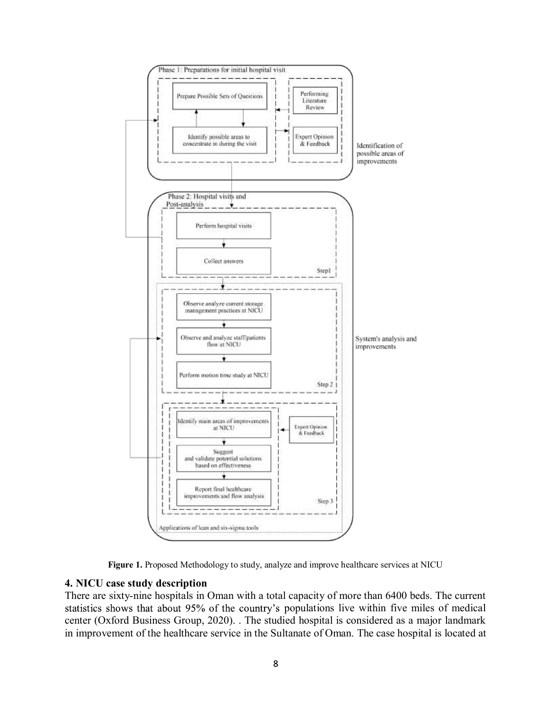



#### **4. NICU case study description**

There are sixty-nine hospitals in Oman with a total capacity of more than 6400 beds. The current statistics shows that about 95% of the country's populations live within five miles of medical center (Oxford Business Group, 2020). . The studied hospital is considered as a major landmark in improvement of the healthcare service in the Sultanate of Oman. The case hospital is located at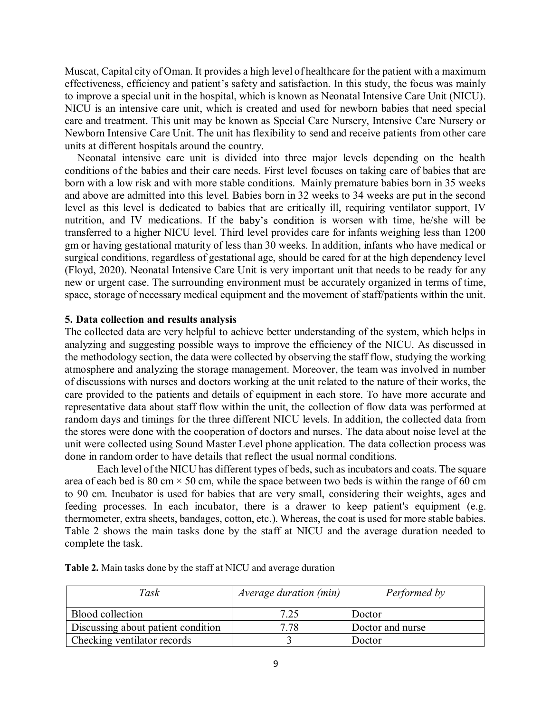Muscat, Capital city of Oman. It provides a high level of healthcare for the patient with a maximum effectiveness, efficiency and patient's safety and satisfaction. In this study, the focus was mainly to improve a special unit in the hospital, which is known as Neonatal Intensive Care Unit (NICU). NICU is an intensive care unit, which is created and used for newborn babies that need special care and treatment. This unit may be known as Special Care Nursery, Intensive Care Nursery or Newborn Intensive Care Unit. The unit has flexibility to send and receive patients from other care units at different hospitals around the country.

 Neonatal intensive care unit is divided into three major levels depending on the health conditions of the babies and their care needs. First level focuses on taking care of babies that are born with a low risk and with more stable conditions. Mainly premature babies born in 35 weeks and above are admitted into this level. Babies born in 32 weeks to 34 weeks are put in the second level as this level is dedicated to babies that are critically ill, requiring ventilator support, IV nutrition, and IV medications. If the baby's condition is worsen with time, he/she will be transferred to a higher NICU level. Third level provides care for infants weighing less than 1200 gm or having gestational maturity of less than 30 weeks. In addition, infants who have medical or surgical conditions, regardless of gestational age, should be cared for at the high dependency level (Floyd, 2020). Neonatal Intensive Care Unit is very important unit that needs to be ready for any new or urgent case. The surrounding environment must be accurately organized in terms of time, space, storage of necessary medical equipment and the movement of staff/patients within the unit.

#### **5. Data collection and results analysis**

The collected data are very helpful to achieve better understanding of the system, which helps in analyzing and suggesting possible ways to improve the efficiency of the NICU. As discussed in the methodology section, the data were collected by observing the staff flow, studying the working atmosphere and analyzing the storage management. Moreover, the team was involved in number of discussions with nurses and doctors working at the unit related to the nature of their works, the care provided to the patients and details of equipment in each store. To have more accurate and representative data about staff flow within the unit, the collection of flow data was performed at random days and timings for the three different NICU levels. In addition, the collected data from the stores were done with the cooperation of doctors and nurses. The data about noise level at the unit were collected using Sound Master Level phone application. The data collection process was done in random order to have details that reflect the usual normal conditions.

Each level of the NICU has different types of beds, such as incubators and coats. The square area of each bed is 80 cm  $\times$  50 cm, while the space between two beds is within the range of 60 cm to 90 cm. Incubator is used for babies that are very small, considering their weights, ages and feeding processes. In each incubator, there is a drawer to keep patient's equipment (e.g. thermometer, extra sheets, bandages, cotton, etc.). Whereas, the coat is used for more stable babies. Table 2 shows the main tasks done by the staff at NICU and the average duration needed to complete the task.

| Task                               | <i>Average duration (min)</i> | Performed by     |
|------------------------------------|-------------------------------|------------------|
| Blood collection                   | 7.25                          | Doctor           |
| Discussing about patient condition | 7.78                          | Doctor and nurse |
| Checking ventilator records        |                               | Doctor           |

**Table 2.** Main tasks done by the staff at NICU and average duration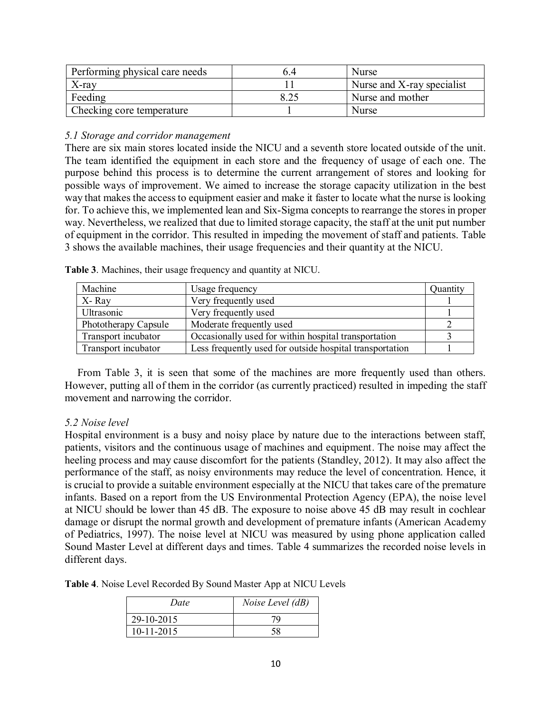| Performing physical care needs |      | Nurse                      |
|--------------------------------|------|----------------------------|
| $X$ -ray                       |      | Nurse and X-ray specialist |
| Feeding                        | 8.25 | Nurse and mother           |
| Checking core temperature      |      | <b>Nurse</b>               |

#### *5.1 Storage and corridor management*

There are six main stores located inside the NICU and a seventh store located outside of the unit. The team identified the equipment in each store and the frequency of usage of each one. The purpose behind this process is to determine the current arrangement of stores and looking for possible ways of improvement. We aimed to increase the storage capacity utilization in the best way that makes the access to equipment easier and make it faster to locate what the nurse is looking for. To achieve this, we implemented lean and Six-Sigma concepts to rearrange the stores in proper way. Nevertheless, we realized that due to limited storage capacity, the staff at the unit put number of equipment in the corridor. This resulted in impeding the movement of staff and patients. Table 3 shows the available machines, their usage frequencies and their quantity at the NICU.

| Machine              | Usage frequency                                          | Quantity |
|----------------------|----------------------------------------------------------|----------|
| X-Ray                | Very frequently used                                     |          |
| Ultrasonic           | Very frequently used                                     |          |
| Phototherapy Capsule | Moderate frequently used                                 |          |
| Transport incubator  | Occasionally used for within hospital transportation     |          |
| Transport incubator  | Less frequently used for outside hospital transportation |          |

**Table 3**. Machines, their usage frequency and quantity at NICU.

 From Table 3, it is seen that some of the machines are more frequently used than others. However, putting all of them in the corridor (as currently practiced) resulted in impeding the staff movement and narrowing the corridor.

## *5.2 Noise level*

Hospital environment is a busy and noisy place by nature due to the interactions between staff, patients, visitors and the continuous usage of machines and equipment. The noise may affect the heeling process and may cause discomfort for the patients (Standley, 2012). It may also affect the performance of the staff, as noisy environments may reduce the level of concentration. Hence, it is crucial to provide a suitable environment especially at the NICU that takes care of the premature infants. Based on a report from the US Environmental Protection Agency (EPA), the noise level at NICU should be lower than 45 dB. The exposure to noise above 45 dB may result in cochlear damage or disrupt the normal growth and development of premature infants (American Academy of Pediatrics, 1997). The noise level at NICU was measured by using phone application called Sound Master Level at different days and times. Table 4 summarizes the recorded noise levels in different days.

**Table 4**. Noise Level Recorded By Sound Master App at NICU Levels

| Date       | Noise Level (dB) |
|------------|------------------|
| 29-10-2015 | 70               |
| 10-11-2015 |                  |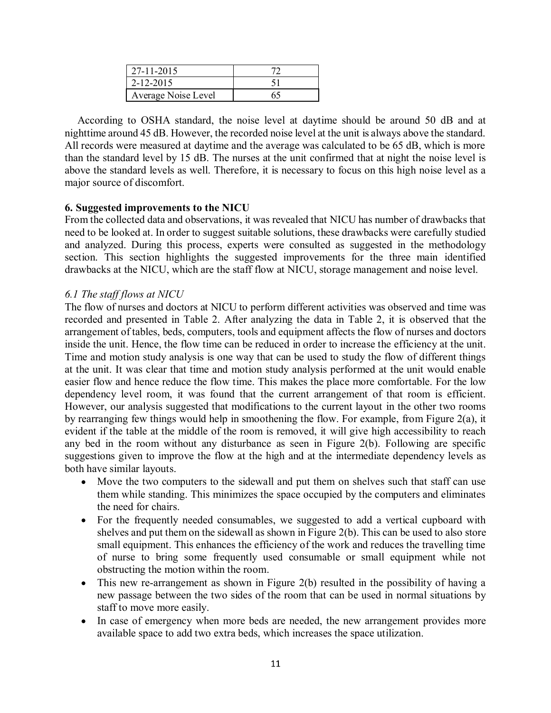| 27-11-2015          |    |
|---------------------|----|
| $2 - 12 - 2015$     |    |
| Average Noise Level | 65 |

 According to OSHA standard, the noise level at daytime should be around 50 dB and at nighttime around 45 dB. However, the recorded noise level at the unit is always above the standard. All records were measured at daytime and the average was calculated to be 65 dB, which is more than the standard level by 15 dB. The nurses at the unit confirmed that at night the noise level is above the standard levels as well. Therefore, it is necessary to focus on this high noise level as a major source of discomfort.

## **6. Suggested improvements to the NICU**

From the collected data and observations, it was revealed that NICU has number of drawbacks that need to be looked at. In order to suggest suitable solutions, these drawbacks were carefully studied and analyzed. During this process, experts were consulted as suggested in the methodology section. This section highlights the suggested improvements for the three main identified drawbacks at the NICU, which are the staff flow at NICU, storage management and noise level.

## *6.1 The staff flows at NICU*

The flow of nurses and doctors at NICU to perform different activities was observed and time was recorded and presented in Table 2. After analyzing the data in Table 2, it is observed that the arrangement of tables, beds, computers, tools and equipment affects the flow of nurses and doctors inside the unit. Hence, the flow time can be reduced in order to increase the efficiency at the unit. Time and motion study analysis is one way that can be used to study the flow of different things at the unit. It was clear that time and motion study analysis performed at the unit would enable easier flow and hence reduce the flow time. This makes the place more comfortable. For the low dependency level room, it was found that the current arrangement of that room is efficient. However, our analysis suggested that modifications to the current layout in the other two rooms by rearranging few things would help in smoothening the flow. For example, from Figure 2(a), it evident if the table at the middle of the room is removed, it will give high accessibility to reach any bed in the room without any disturbance as seen in Figure 2(b). Following are specific suggestions given to improve the flow at the high and at the intermediate dependency levels as both have similar layouts.

- Move the two computers to the sidewall and put them on shelves such that staff can use them while standing. This minimizes the space occupied by the computers and eliminates the need for chairs.
- For the frequently needed consumables, we suggested to add a vertical cupboard with shelves and put them on the sidewall as shown in Figure 2(b). This can be used to also store small equipment. This enhances the efficiency of the work and reduces the travelling time of nurse to bring some frequently used consumable or small equipment while not obstructing the motion within the room.
- This new re-arrangement as shown in Figure 2(b) resulted in the possibility of having a new passage between the two sides of the room that can be used in normal situations by staff to move more easily.
- In case of emergency when more beds are needed, the new arrangement provides more available space to add two extra beds, which increases the space utilization.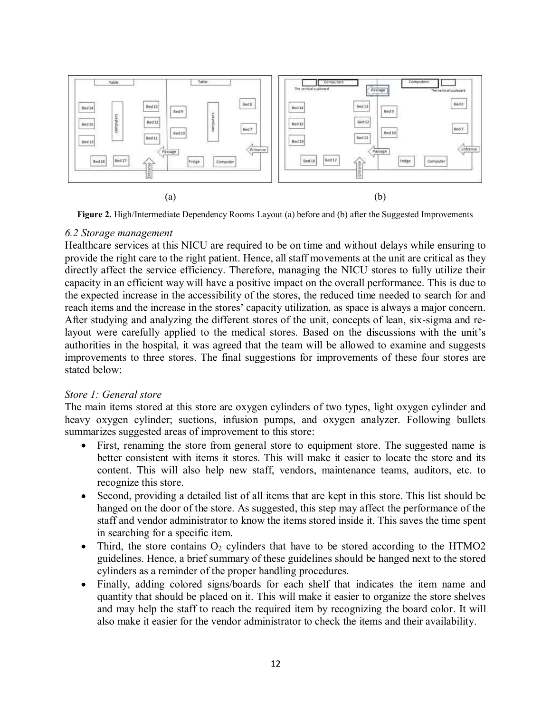

**Figure 2.** High/Intermediate Dependency Rooms Layout (a) before and (b) after the Suggested Improvements

#### *6.2 Storage management*

Healthcare services at this NICU are required to be on time and without delays while ensuring to provide the right care to the right patient. Hence, all staff movements at the unit are critical as they directly affect the service efficiency. Therefore, managing the NICU stores to fully utilize their capacity in an efficient way will have a positive impact on the overall performance. This is due to the expected increase in the accessibility of the stores, the reduced time needed to search for and reach items and the increase in the stores' capacity utilization, as space is always a major concern. After studying and analyzing the different stores of the unit, concepts of lean, six-sigma and relayout were carefully applied to the medical stores. Based on the discussions with the unit's authorities in the hospital, it was agreed that the team will be allowed to examine and suggests improvements to three stores. The final suggestions for improvements of these four stores are stated below:

## *Store 1: General store*

The main items stored at this store are oxygen cylinders of two types, light oxygen cylinder and heavy oxygen cylinder; suctions, infusion pumps, and oxygen analyzer. Following bullets summarizes suggested areas of improvement to this store:

- First, renaming the store from general store to equipment store. The suggested name is better consistent with items it stores. This will make it easier to locate the store and its content. This will also help new staff, vendors, maintenance teams, auditors, etc. to recognize this store.
- Second, providing a detailed list of all items that are kept in this store. This list should be hanged on the door of the store. As suggested, this step may affect the performance of the staff and vendor administrator to know the items stored inside it. This saves the time spent in searching for a specific item.
- Third, the store contains  $O_2$  cylinders that have to be stored according to the HTMO2 guidelines. Hence, a brief summary of these guidelines should be hanged next to the stored cylinders as a reminder of the proper handling procedures.
- Finally, adding colored signs/boards for each shelf that indicates the item name and quantity that should be placed on it. This will make it easier to organize the store shelves and may help the staff to reach the required item by recognizing the board color. It will also make it easier for the vendor administrator to check the items and their availability.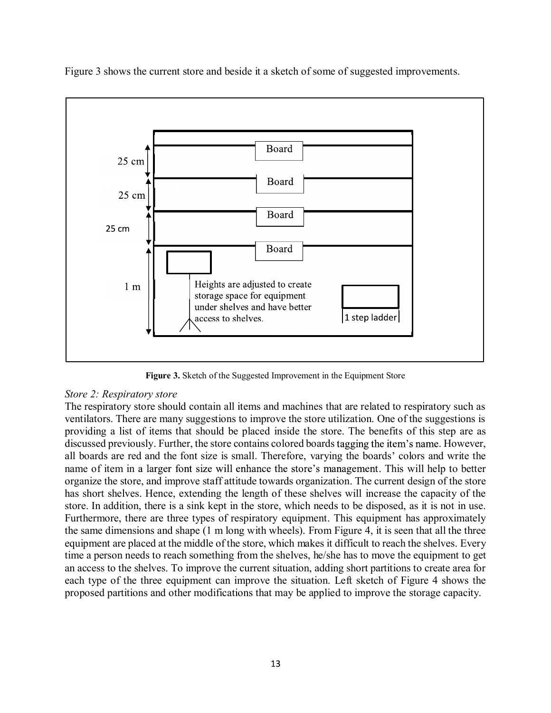

Figure 3 shows the current store and beside it a sketch of some of suggested improvements.

**Figure 3.** Sketch of the Suggested Improvement in the Equipment Store

## *Store 2: Respiratory store*

The respiratory store should contain all items and machines that are related to respiratory such as ventilators. There are many suggestions to improve the store utilization. One of the suggestions is providing a list of items that should be placed inside the store. The benefits of this step are as discussed previously. Further, the store contains colored boards tagging the item's name. However, all boards are red and the font size is small. Therefore, varying the boards' colors and write the name of item in a larger font size will enhance the store's management. This will help to better organize the store, and improve staff attitude towards organization. The current design of the store has short shelves. Hence, extending the length of these shelves will increase the capacity of the store. In addition, there is a sink kept in the store, which needs to be disposed, as it is not in use. Furthermore, there are three types of respiratory equipment. This equipment has approximately the same dimensions and shape (1 m long with wheels). From Figure 4, it is seen that all the three equipment are placed at the middle of the store, which makes it difficult to reach the shelves. Every time a person needs to reach something from the shelves, he/she has to move the equipment to get an access to the shelves. To improve the current situation, adding short partitions to create area for each type of the three equipment can improve the situation. Left sketch of Figure 4 shows the proposed partitions and other modifications that may be applied to improve the storage capacity.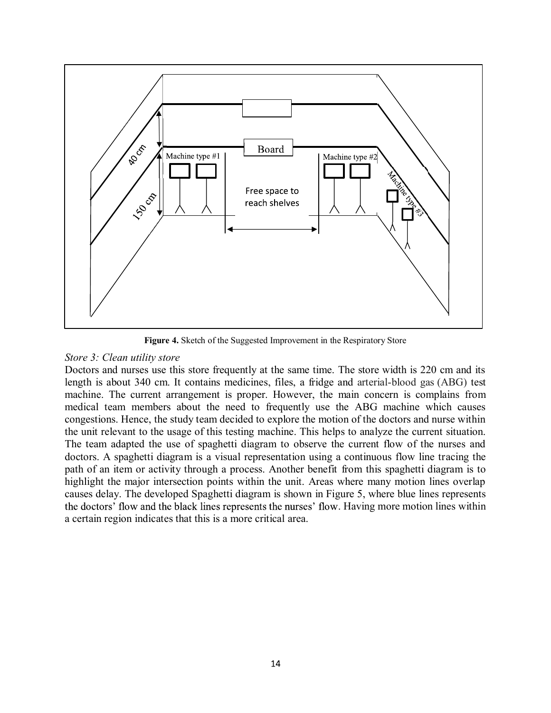

**Figure 4.** Sketch of the Suggested Improvement in the Respiratory Store

#### *Store 3: Clean utility store*

Doctors and nurses use this store frequently at the same time. The store width is 220 cm and its length is about 340 cm. It contains medicines, files, a fridge and arterial-blood gas (ABG) test machine. The current arrangement is proper. However, the main concern is complains from medical team members about the need to frequently use the ABG machine which causes congestions. Hence, the study team decided to explore the motion of the doctors and nurse within the unit relevant to the usage of this testing machine. This helps to analyze the current situation. The team adapted the use of spaghetti diagram to observe the current flow of the nurses and doctors. A spaghetti diagram is a visual representation using a continuous flow line tracing the path of an item or activity through a process. Another benefit from this spaghetti diagram is to highlight the major intersection points within the unit. Areas where many motion lines overlap causes delay. The developed Spaghetti diagram is shown in Figure 5, where blue lines represents the doctors' flow and the black lines represents the nurses' flow. Having more motion lines within a certain region indicates that this is a more critical area.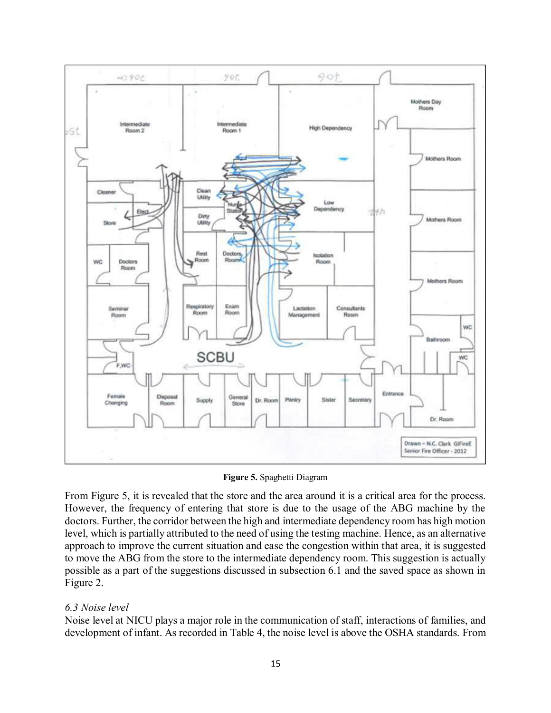

**Figure 5.** Spaghetti Diagram

From Figure 5, it is revealed that the store and the area around it is a critical area for the process. However, the frequency of entering that store is due to the usage of the ABG machine by the doctors. Further, the corridor between the high and intermediate dependency room has high motion level, which is partially attributed to the need of using the testing machine. Hence, as an alternative approach to improve the current situation and ease the congestion within that area, it is suggested to move the ABG from the store to the intermediate dependency room. This suggestion is actually possible as a part of the suggestions discussed in subsection 6.1 and the saved space as shown in Figure 2.

## *6.3 Noise level*

Noise level at NICU plays a major role in the communication of staff, interactions of families, and development of infant. As recorded in Table 4, the noise level is above the OSHA standards. From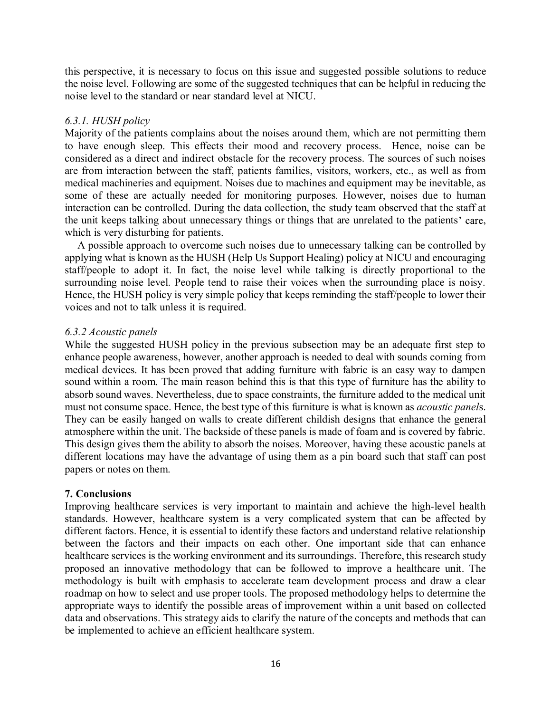this perspective, it is necessary to focus on this issue and suggested possible solutions to reduce the noise level. Following are some of the suggested techniques that can be helpful in reducing the noise level to the standard or near standard level at NICU.

## *6.3.1. HUSH policy*

Majority of the patients complains about the noises around them, which are not permitting them to have enough sleep. This effects their mood and recovery process. Hence, noise can be considered as a direct and indirect obstacle for the recovery process. The sources of such noises are from interaction between the staff, patients families, visitors, workers, etc., as well as from medical machineries and equipment. Noises due to machines and equipment may be inevitable, as some of these are actually needed for monitoring purposes. However, noises due to human interaction can be controlled. During the data collection, the study team observed that the staff at the unit keeps talking about unnecessary things or things that are unrelated to the patients' care, which is very disturbing for patients.

 A possible approach to overcome such noises due to unnecessary talking can be controlled by applying what is known as the HUSH (Help Us Support Healing) policy at NICU and encouraging staff/people to adopt it. In fact, the noise level while talking is directly proportional to the surrounding noise level. People tend to raise their voices when the surrounding place is noisy. Hence, the HUSH policy is very simple policy that keeps reminding the staff/people to lower their voices and not to talk unless it is required.

#### *6.3.2 Acoustic panels*

While the suggested HUSH policy in the previous subsection may be an adequate first step to enhance people awareness, however, another approach is needed to deal with sounds coming from medical devices. It has been proved that adding furniture with fabric is an easy way to dampen sound within a room. The main reason behind this is that this type of furniture has the ability to absorb sound waves. Nevertheless, due to space constraints, the furniture added to the medical unit must not consume space. Hence, the best type of this furniture is what is known as *acoustic panel*s. They can be easily hanged on walls to create different childish designs that enhance the general atmosphere within the unit. The backside of these panels is made of foam and is covered by fabric. This design gives them the ability to absorb the noises. Moreover, having these acoustic panels at different locations may have the advantage of using them as a pin board such that staff can post papers or notes on them.

#### **7. Conclusions**

Improving healthcare services is very important to maintain and achieve the high-level health standards. However, healthcare system is a very complicated system that can be affected by different factors. Hence, it is essential to identify these factors and understand relative relationship between the factors and their impacts on each other. One important side that can enhance healthcare services is the working environment and its surroundings. Therefore, this research study proposed an innovative methodology that can be followed to improve a healthcare unit. The methodology is built with emphasis to accelerate team development process and draw a clear roadmap on how to select and use proper tools. The proposed methodology helps to determine the appropriate ways to identify the possible areas of improvement within a unit based on collected data and observations. This strategy aids to clarify the nature of the concepts and methods that can be implemented to achieve an efficient healthcare system.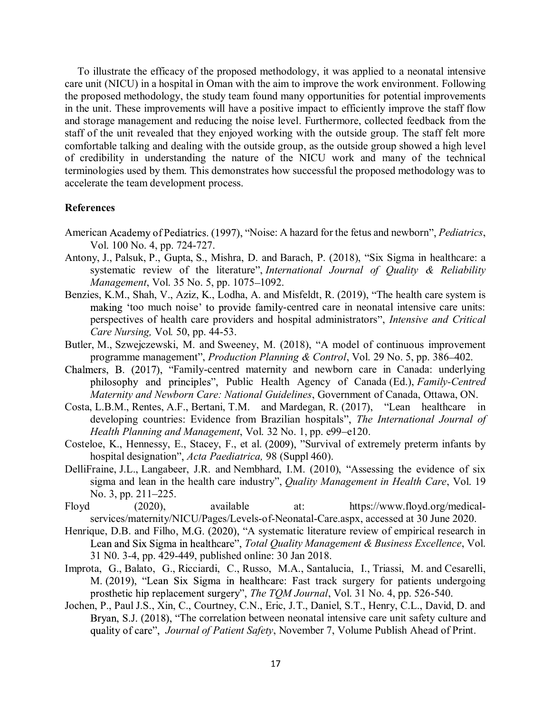To illustrate the efficacy of the proposed methodology, it was applied to a neonatal intensive care unit (NICU) in a hospital in Oman with the aim to improve the work environment. Following the proposed methodology, the study team found many opportunities for potential improvements in the unit. These improvements will have a positive impact to efficiently improve the staff flow and storage management and reducing the noise level. Furthermore, collected feedback from the staff of the unit revealed that they enjoyed working with the outside group. The staff felt more comfortable talking and dealing with the outside group, as the outside group showed a high level of credibility in understanding the nature of the NICU work and many of the technical terminologies used by them. This demonstrates how successful the proposed methodology was to accelerate the team development process.

#### **References**

- American Academy of Pediatrics. (1997), "Noise: A hazard for the fetus and newborn", *Pediatrics*, Vol. 100 No. 4, pp. 724-727.
- Antony, J., Palsuk, P., Gupta, S., Mishra, D. and Barach, P. (2018), "Six Sigma in healthcare: a systematic review of the literature", *International Journal of Quality & Reliability Management*, Vol. 35 No. 5, pp. 1075-1092.
- Benzies, K.M., Shah, V., Aziz, K., Lodha, A. and Misfeldt, R. (2019), "The health care system is making 'too much noise' to provide family-centred care in neonatal intensive care units: perspectives of health care providers and hospital administrators", *Intensive and Critical Care Nursing,* Vol*.* 50, pp. 44-53.
- Butler, M., Szwejczewski, M. and Sweeney, M. (2018), "A model of continuous improvement programme management", *Production Planning & Control*, Vol. 29 No. 5, pp. 386–402.
- Chalmers, B. (2017), "Family-centred maternity and newborn care in Canada: underlying philosophy and principles", Public Health Agency of Canada (Ed.), *Family-Centred Maternity and Newborn Care: National Guidelines*, Government of Canada, Ottawa, ON.
- Costa, L.B.M., Rentes, A.F., Bertani, T.M. and Mardegan, R. (2017), "Lean healthcare in developing countries: Evidence from Brazilian hospitals *The International Journal of Health Planning and Management*, Vol. 32 No. 1, pp. e99–e120.
- Costeloe, K., Hennessy, E., Stacey, F., et al.  $(2009)$ , "Survival of extremely preterm infants by hospital designation", *Acta Paediatrica*, 98 (Suppl 460).
- DelliFraine, J.L., Langabeer, J.R. and Nembhard, I.M. (2010), "Assessing the evidence of six sigma and lean in the health care industry", *Quality Management in Health Care*, Vol. 19 No. 3, pp. 211-225.
- Floyd (2020), available at: https://www.floyd.org/medicalservices/maternity/NICU/Pages/Levels-of-Neonatal-Care.aspx, accessed at 30 June 2020.
- Henrique, D.B. and Filho, M.G. (2020), "A systematic literature review of empirical research in Lean and Six Sigma in healthcare", Total Quality Management & Business Excellence, Vol. 31 N0. 3-4, pp. 429-449, published online: 30 Jan 2018.
- Improta, G., Balato, G., Ricciardi, C., Russo, M.A., Santalucia, I., Triassi, M. and Cesarelli, M. (2019), "Lean Six Sigma in healthcare: Fast track surgery for patients undergoing prosthetic hip replacement surgery", *The TQM Journal*, Vol. 31 No. 4, pp. 526-540.
- Jochen, P., Paul J.S., Xin, C., Courtney, C.N., Eric, J.T., Daniel, S.T., Henry, C.L., David, D. and Bryan, S.J. (2018), "The correlation between neonatal intensive care unit safety culture and *Journal of Patient Safety*, November 7, Volume Publish Ahead of Print.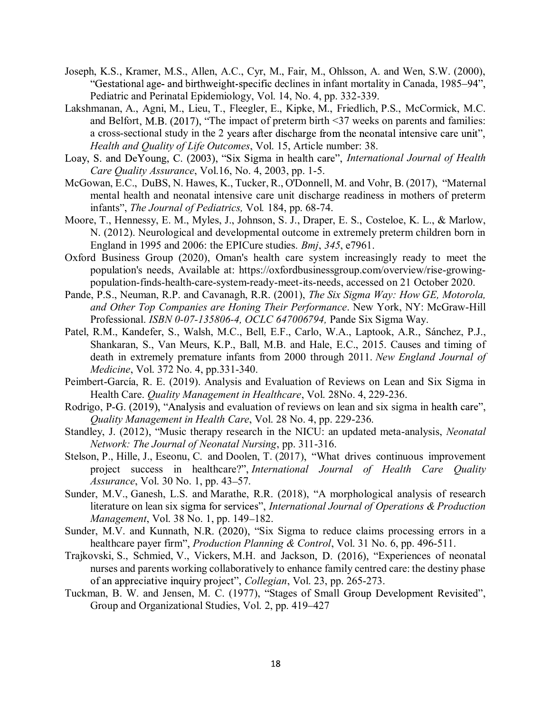- Joseph, K.S., Kramer, M.S., Allen, A.C., Cyr, M., Fair, M., Ohlsson, A. and Wen, S.W. (2000), "Gestational age- and birthweight-specific declines in infant mortality in Canada, 1985–94", Pediatric and Perinatal Epidemiology, Vol. 14, No. 4, pp. 332-339.
- Lakshmanan, A., Agni, M., Lieu, T., Fleegler, E., Kipke, M., Friedlich, P.S., McCormick, M.C. and Belfort, M.B. (2017), "The impact of preterm birth  $\leq$ 37 weeks on parents and families: a cross-sectional study in the 2 years after discharge from the neonatal intensive care unit", *Health and Quality of Life Outcomes*, Vol. 15, Article number: 38.
- Loay, S. and DeYoung, C. (2003), "Six Sigma in health care", *International Journal of Health Care Quality Assurance*, Vol.16, No. 4, 2003, pp. 1-5.
- McGowan, E.C., DuBS, N. Hawes, K., Tucker, R., O'Donnell, M. and Vohr, B. (2017), "Maternal mental health and neonatal intensive care unit discharge readiness in mothers of preterm infants", *The Journal of Pediatrics*, Vol. 184, pp. 68-74.
- Moore, T., Hennessy, E. M., Myles, J., Johnson, S. J., Draper, E. S., Costeloe, K. L., & Marlow, N. (2012). Neurological and developmental outcome in extremely preterm children born in England in 1995 and 2006: the EPICure studies. *Bmj*, *345*, e7961.
- Oxford Business Group (2020), Oman's health care system increasingly ready to meet the population's needs, Available at: https://oxfordbusinessgroup.com/overview/rise-growingpopulation-finds-health-care-system-ready-meet-its-needs, accessed on 21 October 2020.
- Pande, P.S., Neuman, R.P. and Cavanagh, R.R. (2001), *The Six Sigma Way: How GE, Motorola, and Other Top Companies are Honing Their Performance*. New York, NY: McGraw-Hill Professional. *ISBN 0-07-135806-4, OCLC 647006794,* Pande Six Sigma Way.
- Patel, R.M., Kandefer, S., Walsh, M.C., Bell, E.F., Carlo, W.A., Laptook, A.R., Sánchez, P.J., Shankaran, S., Van Meurs, K.P., Ball, M.B. and Hale, E.C., 2015. Causes and timing of death in extremely premature infants from 2000 through 2011. *New England Journal of Medicine*, Vol. 372 No. 4, pp.331-340.
- Peimbert-García, R. E. (2019). Analysis and Evaluation of Reviews on Lean and Six Sigma in Health Care. *Quality Management in Healthcare*, Vol. 28No. 4, 229-236.
- Rodrigo, P-G. (2019), "Analysis and evaluation of reviews on lean and six sigma in health care", *Quality Management in Health Care*, Vol. 28 No. 4, pp. 229-236.
- Standley, J. (2012), "Music therapy research in the NICU: an updated meta-analysis, *Neonatal Network: The Journal of Neonatal Nursing*, pp. 311-316.
- Stelson, P., Hille, J., Eseonu, C. and Doolen, T. (2017), "What drives continuous improvement project success in healthcare?", *International Journal of Health Care Quality Assurance*, Vol. 30 No. 1, pp. 43–57.
- Sunder, M.V., Ganesh, L.S. and Marathe, R.R. (2018), "A morphological analysis of research literature on lean six sigma for services", *International Journal of Operations & Production Management*, Vol. 38 No. 1, pp. 149–182.
- Sunder, M.V. and Kunnath, N.R. (2020), "Six Sigma to reduce claims processing errors in a healthcare payer firm", *Production Planning & Control*, Vol. 31 No. 6, pp. 496-511.
- Trajkovski, S., Schmied, V., Vickers, M.H. and Jackson, D. (2016), "Experiences of neonatal nurses and parents working collaboratively to enhance family centred care: the destiny phase *Collegian*, Vol. 23, pp. 265-273.
- Tuckman, B. W. and Jensen, M. C. (1977), "Stages of Small Group Development Revisited", Group and Organizational Studies, Vol. 2, pp. 419–427